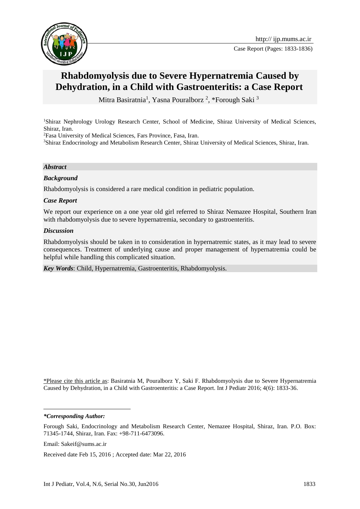

Case Report (Pages: 1833-1836)

# **Rhabdomyolysis due to Severe Hypernatremia Caused by Dehydration, in a Child with Gastroenteritis: a Case Report**

Mitra Basiratnia<sup>1</sup>, Yasna Pouralborz<sup>2</sup>, \*Forough Saki<sup>3</sup>

<sup>1</sup>Shiraz Nephrology Urology Research Center, School of Medicine, Shiraz University of Medical Sciences, Shiraz, Iran.

<sup>2</sup>Fasa University of Medical Sciences, Fars Province, Fasa, Iran.

<sup>3</sup>Shiraz Endocrinology and Metabolism Research Center, Shiraz University of Medical Sciences, Shiraz, Iran.

#### *Abstract*

### *Background*

Rhabdomyolysis is considered a rare medical condition in pediatric population.

### *Case Report*

We report our experience on a one year old girl referred to Shiraz Nemazee Hospital, Southern Iran with rhabdomyolysis due to severe hypernatremia, secondary to gastroenteritis.

### *Discussion*

Rhabdomyolysis should be taken in to consideration in hypernatremic states, as it may lead to severe consequences. Treatment of underlying cause and proper management of hypernatremia could be helpful while handling this complicated situation.

*Key Words*: Child, Hypernatremia, Gastroenteritis, Rhabdomyolysis.

\*Please cite this article as: Basiratnia M, Pouralborz Y, Saki F. Rhabdomyolysis due to Severe Hypernatremia Caused by Dehydration, in a Child with Gastroenteritis: a Case Report. Int J Pediatr 2016; 4(6): 1833-36.

1

*<sup>\*</sup>Corresponding Author:*

Forough Saki, Endocrinology and Metabolism Research Center, Nemazee Hospital, Shiraz, Iran. P.O. Box: 71345-1744, Shiraz, Iran. Fax: +98-711-6473096.

Email: Sakeif@sums.ac.ir

Received date Feb 15, 2016 ; Accepted date: Mar 22, 2016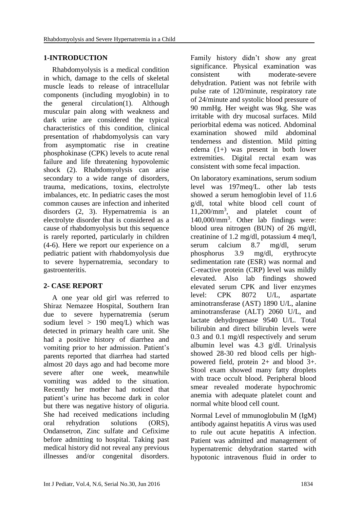# **1-INTRODUCTION**

Rhabdomyolysis is a medical condition in which, damage to the cells of skeletal muscle leads to release of intracellular components (including myoglobin) in to the general circulation(1). Although muscular pain along with weakness and dark urine are considered the typical characteristics of this condition, clinical presentation of rhabdomyolysis can vary from asymptomatic rise in creatine phosphokinase (CPK) levels to acute renal failure and life threatening hypovolemic shock (2). Rhabdomyolysis can arise secondary to a wide range of disorders, trauma, medications, toxins, electrolyte imbalances, etc. In pediatric cases the most common causes are infection and inherited disorders (2, 3). Hypernatremia is an electrolyte disorder that is considered as a cause of rhabdomyolysis but this sequence is rarely reported, particularly in children (4-6). Here we report our experience on a pediatric patient with rhabdomyolysis due to severe hypernatremia, secondary to gastroenteritis.

# **2- CASE REPORT**

A one year old girl was referred to Shiraz Nemazee Hospital, Southern Iran due to severe hypernatremia (serum sodium level  $> 190$  meq/L) which was detected in primary health care unit. She had a positive history of diarrhea and vomiting prior to her admission. Patient's parents reported that diarrhea had started almost 20 days ago and had become more severe after one week, meanwhile vomiting was added to the situation. Recently her mother had noticed that patient's urine has become dark in color but there was negative history of oliguria. She had received medications including oral rehydration solutions (ORS), Ondansetron, Zinc sulfate and Cefixime before admitting to hospital. Taking past medical history did not reveal any previous illnesses and/or congenital disorders.

Family history didn't show any great significance. Physical examination was consistent with moderate-severe dehydration. Patient was not febrile with pulse rate of 120/minute, respiratory rate of 24/minute and systolic blood pressure of 90 mmHg. Her weight was 9kg. She was irritable with dry mucosal surfaces. Mild periorbital edema was noticed. Abdominal examination showed mild abdominal tenderness and distention. Mild pitting edema (1+) was present in both lower extremities. Digital rectal exam was consistent with some fecal impaction.

On laboratory examinations, serum sodium level was 197meq/L. other lab tests showed a serum hemoglobin level of 11.6 g/dl, total white blood cell count of 11,200/mm<sup>3</sup> , and platelet count of 140,000/mm<sup>3</sup> . Other lab findings were: blood urea nitrogen (BUN) of 26 mg/dl, creatinine of 1.2 mg/dl, potassium 4 meq/l, serum calcium 8.7 mg/dl, serum phosphorus 3.9 mg/dl, erythrocyte sedimentation rate (ESR) was normal and C-reactive protein (CRP) level was mildly elevated. Also lab findings showed elevated serum CPK and liver enzymes level: CPK 8072 U/L, aspartate aminotransferase (AST) 1890 U/L, alanine aminotransferase (ALT) 2060 U/L, and lactate dehydrogenase 9540 U/L. Total bilirubin and direct bilirubin levels were 0.3 and 0.1 mg/dl respectively and serum albumin level was 4.3 g/dl. Urinalysis showed 28-30 red blood cells per highpowered field, protein 2+ and blood 3+. Stool exam showed many fatty droplets with trace occult blood. Peripheral blood smear revealed moderate hypochromic anemia with adequate platelet count and normal white blood cell count.

Normal Level of mmunoglobulin M (IgM) antibody against hepatitis A virus was used to rule out acute hepatitis A infection. Patient was admitted and management of hypernatremic dehydration started with hypotonic intravenous fluid in order to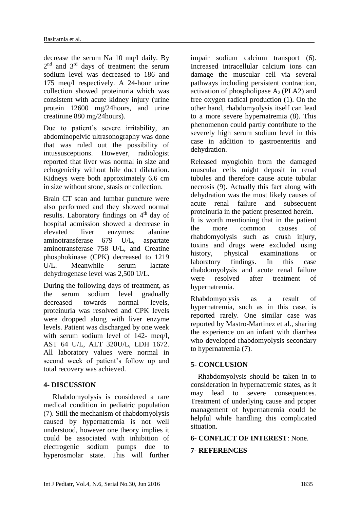decrease the serum Na 10 mq/l daily. By  $2<sup>nd</sup>$  and  $3<sup>rd</sup>$  days of treatment the serum sodium level was decreased to 186 and 175 meq/l respectively. A 24-hour urine collection showed proteinuria which was consistent with acute kidney injury (urine protein 12600 mg/24hours, and urine creatinine 880 mg/24hours).

Due to patient's severe irritability, an abdominopelvic ultrasonography was done that was ruled out the possibility of intussusceptions. However, radiologist reported that liver was normal in size and echogenicity without bile duct dilatation. Kidneys were both approximately 6.6 cm in size without stone, stasis or collection.

Brain CT scan and lumbar puncture were also performed and they showed normal results. Laboratory findings on 4<sup>th</sup> day of hospital admission showed a decrease in elevated liver enzymes: alanine aminotransferase 679 U/L, aspartate aminotransferase 758 U/L, and Creatine phosphokinase (CPK) decreased to 1219 U/L. Meanwhile serum lactate dehydrogenase level was 2,500 U/L.

During the following days of treatment, as the serum sodium level gradually decreased towards normal levels proteinuria was resolved and CPK levels were dropped along with liver enzyme levels. Patient was discharged by one week with serum sodium level of 142- meg/l, AST 64 U/L, ALT 320U/L, LDH 1672. All laboratory values were normal in second week of patient's follow up and total recovery was achieved.

# **4- DISCUSSION**

 Rhabdomyolysis is considered a rare medical condition in pediatric population (7). Still the mechanism of rhabdomyolysis caused by hypernatremia is not well understood, however one theory implies it could be associated with inhibition of electrogenic sodium pumps due to hyperosmolar state. This will further impair sodium calcium transport (6). Increased intracellular calcium ions can damage the muscular cell via several pathways including persistent contraction, activation of phospholipase  $A_2$  (PLA2) and free oxygen radical production (1). On the other hand, rhabdomyolysis itself can lead to a more severe hypernatremia (8). This phenomenon could partly contribute to the severely high serum sodium level in this case in addition to gastroenteritis and dehydration.

Released myoglobin from the damaged muscular cells might deposit in renal tubules and therefore cause acute tubular necrosis (9). Actually this fact along with dehydration was the most likely causes of acute renal failure and subsequent proteinuria in the patient presented herein. It is worth mentioning that in the patient the more common causes of rhabdomyolysis such as crush injury, toxins and drugs were excluded using history, physical examinations or laboratory findings. In this case rhabdomyolysis and acute renal failure were resolved after treatment of hypernatremia.

Rhabdomyolysis as a result of hypernatremia, such as in this case, is reported rarely. One similar case was reported by Mastro-Martinez et al., sharing the experience on an infant with diarrhea who developed rhabdomyolysis secondary to hypernatremia (7).

# **5- CONCLUSION**

 Rhabdomyolysis should be taken in to consideration in hypernatremic states, as it may lead to severe consequences. Treatment of underlying cause and proper management of hypernatremia could be helpful while handling this complicated situation.

# **6- CONFLICT OF INTEREST**: None.

# **7- REFERENCES**